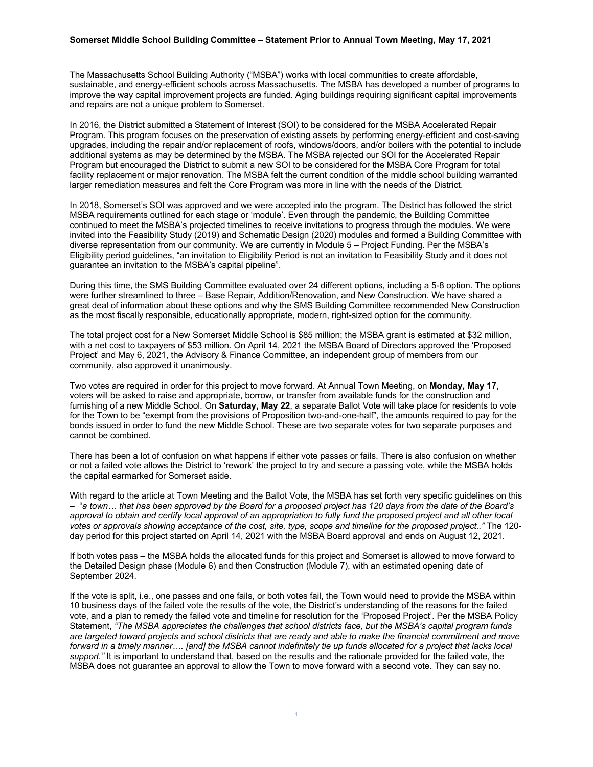## **Somerset Middle School Building Committee – Statement Prior to Annual Town Meeting, May 17, 2021**

The Massachusetts School Building Authority ("MSBA") works with local communities to create affordable, sustainable, and energy-efficient schools across Massachusetts. The MSBA has developed a number of programs to improve the way capital improvement projects are funded. Aging buildings requiring significant capital improvements and repairs are not a unique problem to Somerset.

In 2016, the District submitted a Statement of Interest (SOI) to be considered for the MSBA Accelerated Repair Program. This program focuses on the preservation of existing assets by performing energy-efficient and cost-saving upgrades, including the repair and/or replacement of roofs, windows/doors, and/or boilers with the potential to include additional systems as may be determined by the MSBA. The MSBA rejected our SOI for the Accelerated Repair Program but encouraged the District to submit a new SOI to be considered for the MSBA Core Program for total facility replacement or major renovation. The MSBA felt the current condition of the middle school building warranted larger remediation measures and felt the Core Program was more in line with the needs of the District.

In 2018, Somerset's SOI was approved and we were accepted into the program. The District has followed the strict MSBA requirements outlined for each stage or 'module'. Even through the pandemic, the Building Committee continued to meet the MSBA's projected timelines to receive invitations to progress through the modules. We were invited into the Feasibility Study (2019) and Schematic Design (2020) modules and formed a Building Committee with diverse representation from our community. We are currently in Module 5 – Project Funding. Per the MSBA's Eligibility period guidelines, "an invitation to Eligibility Period is not an invitation to Feasibility Study and it does not guarantee an invitation to the MSBA's capital pipeline".

During this time, the SMS Building Committee evaluated over 24 different options, including a 5-8 option. The options were further streamlined to three – Base Repair, Addition/Renovation, and New Construction. We have shared a great deal of information about these options and why the SMS Building Committee recommended New Construction as the most fiscally responsible, educationally appropriate, modern, right-sized option for the community.

The total project cost for a New Somerset Middle School is \$85 million; the MSBA grant is estimated at \$32 million, with a net cost to taxpayers of \$53 million. On April 14, 2021 the MSBA Board of Directors approved the 'Proposed Project' and May 6, 2021, the Advisory & Finance Committee, an independent group of members from our community, also approved it unanimously.

Two votes are required in order for this project to move forward. At Annual Town Meeting, on **Monday, May 17**, voters will be asked to raise and appropriate, borrow, or transfer from available funds for the construction and furnishing of a new Middle School. On **Saturday, May 22**, a separate Ballot Vote will take place for residents to vote for the Town to be "exempt from the provisions of Proposition two-and-one-half", the amounts required to pay for the bonds issued in order to fund the new Middle School. These are two separate votes for two separate purposes and cannot be combined.

There has been a lot of confusion on what happens if either vote passes or fails. There is also confusion on whether or not a failed vote allows the District to 'rework' the project to try and secure a passing vote, while the MSBA holds the capital earmarked for Somerset aside.

With regard to the article at Town Meeting and the Ballot Vote, the MSBA has set forth very specific guidelines on this – "*a town… that has been approved by the Board for a proposed project has 120 days from the date of the Board's approval to obtain and certify local approval of an appropriation to fully fund the proposed project and all other local votes or approvals showing acceptance of the cost, site, type, scope and timeline for the proposed project.."* The 120 day period for this project started on April 14, 2021 with the MSBA Board approval and ends on August 12, 2021.

If both votes pass – the MSBA holds the allocated funds for this project and Somerset is allowed to move forward to the Detailed Design phase (Module 6) and then Construction (Module 7), with an estimated opening date of September 2024.

If the vote is split, i.e., one passes and one fails, or both votes fail, the Town would need to provide the MSBA within 10 business days of the failed vote the results of the vote, the District's understanding of the reasons for the failed vote, and a plan to remedy the failed vote and timeline for resolution for the 'Proposed Project'. Per the MSBA Policy Statement, *"The MSBA appreciates the challenges that school districts face, but the MSBA's capital program funds are targeted toward projects and school districts that are ready and able to make the financial commitment and move forward in a timely manner…. [and] the MSBA cannot indefinitely tie up funds allocated for a project that lacks local support."* It is important to understand that, based on the results and the rationale provided for the failed vote, the MSBA does not guarantee an approval to allow the Town to move forward with a second vote. They can say no.